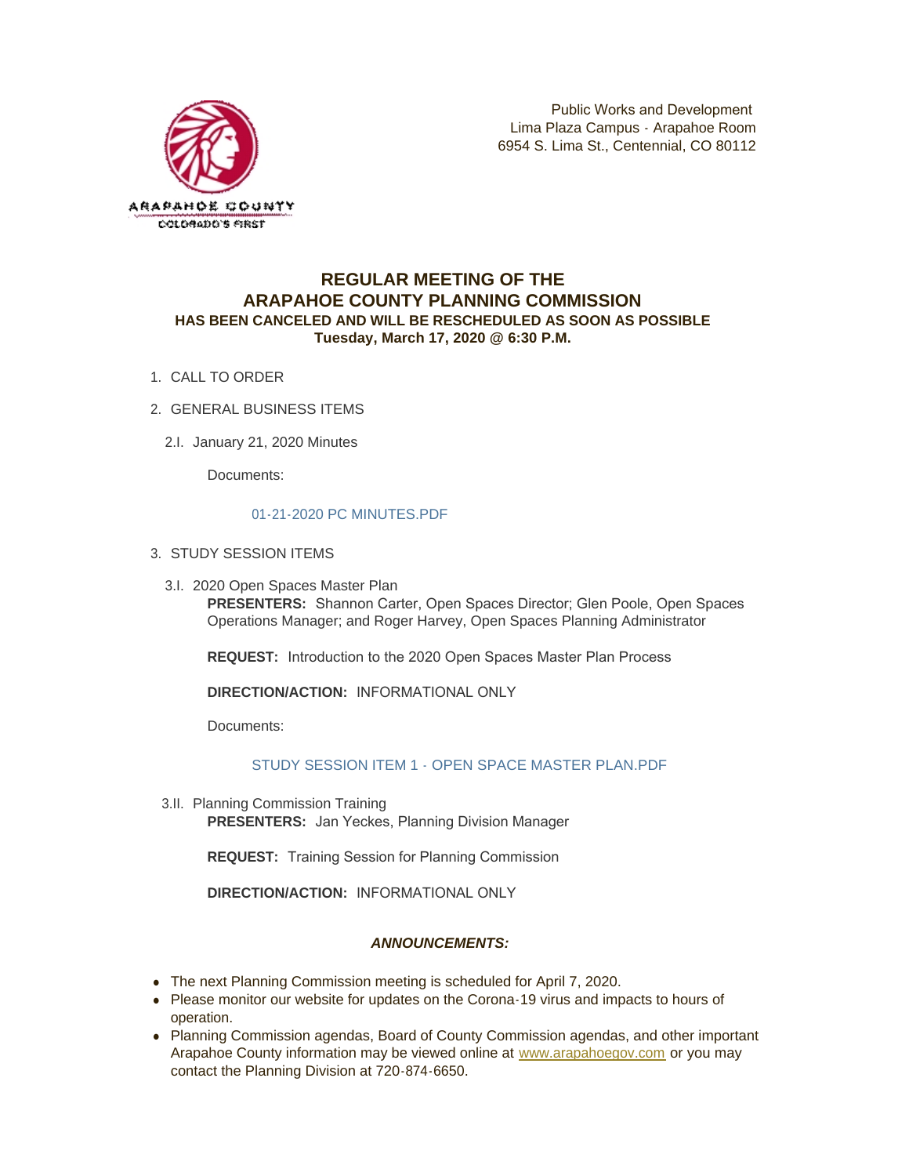

# **REGULAR MEETING OF THE ARAPAHOE COUNTY PLANNING COMMISSION HAS BEEN CANCELED AND WILL BE RESCHEDULED AS SOON AS POSSIBLE Tuesday, March 17, 2020 @ 6:30 P.M.**

- 1. CALL TO ORDER
- GENERAL BUSINESS ITEMS 2.
	- 2.I. January 21, 2020 Minutes

Documents:

## [01-21-2020 PC MINUTES.PDF](https://www.arapahoegov.com/AgendaCenter/ViewFile/Item/12217?fileID=19839)

- 3. STUDY SESSION ITEMS
	- 3.I. 2020 Open Spaces Master Plan

**PRESENTERS:** Shannon Carter, Open Spaces Director; Glen Poole, Open Spaces Operations Manager; and Roger Harvey, Open Spaces Planning Administrator

**REQUEST:** Introduction to the 2020 Open Spaces Master Plan Process

**DIRECTION/ACTION:** INFORMATIONAL ONLY

Documents:

## [STUDY SESSION ITEM 1 - OPEN SPACE MASTER PLAN.PDF](https://www.arapahoegov.com/AgendaCenter/ViewFile/Item/12218?fileID=19840)

3.II. Planning Commission Training **PRESENTERS:** Jan Yeckes, Planning Division Manager

**REQUEST:** Training Session for Planning Commission

**DIRECTION/ACTION:** INFORMATIONAL ONLY

## *ANNOUNCEMENTS:*

- The next Planning Commission meeting is scheduled for April 7, 2020.
- Please monitor our website for updates on the Corona-19 virus and impacts to hours of operation.
- Planning Commission agendas, Board of County Commission agendas, and other important Arapahoe County information may be viewed online at [www.arapahoegov.com](http://www.arapahoegov.com/) or you may contact the Planning Division at 720-874-6650.